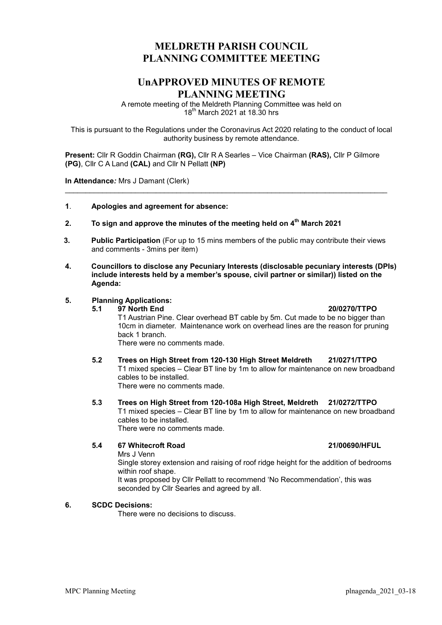# MELDRETH PARISH COUNCIL PLANNING COMMITTEE MEETING

## UnAPPROVED MINUTES OF REMOTE PLANNING MEETING

A remote meeting of the Meldreth Planning Committee was held on  $18<sup>th</sup>$  March 2021 at 18.30 hrs

This is pursuant to the Regulations under the Coronavirus Act 2020 relating to the conduct of local authority business by remote attendance.

Present: Cllr R Goddin Chairman (RG), Cllr R A Searles – Vice Chairman (RAS), Cllr P Gilmore (PG), Cllr C A Land (CAL) and Cllr N Pellatt (NP)

\_\_\_\_\_\_\_\_\_\_\_\_\_\_\_\_\_\_\_\_\_\_\_\_\_\_\_\_\_\_\_\_\_\_\_\_\_\_\_\_\_\_\_\_\_\_\_\_\_\_\_\_\_\_\_\_\_\_\_\_\_\_\_\_\_\_\_\_\_\_\_\_\_\_\_\_\_\_

In Attendance: Mrs J Damant (Clerk)

- 1. Apologies and agreement for absence:
- 2. To sign and approve the minutes of the meeting held on  $4<sup>th</sup>$  March 2021
- 3. Public Participation (For up to 15 mins members of the public may contribute their views and comments - 3mins per item)
- 4. Councillors to disclose any Pecuniary Interests (disclosable pecuniary interests (DPIs) include interests held by a member's spouse, civil partner or similar)) listed on the Agenda:

#### 5. Planning Applications:

 5.1 97 North End 20/0270/TTPO T1 Austrian Pine. Clear overhead BT cable by 5m. Cut made to be no bigger than 10cm in diameter. Maintenance work on overhead lines are the reason for pruning back 1 branch.

There were no comments made.

- 5.2 Trees on High Street from 120-130 High Street Meldreth 21/0271/TTPO T1 mixed species – Clear BT line by 1m to allow for maintenance on new broadband cables to be installed. There were no comments made.
- 5.3 Trees on High Street from 120-108a High Street, Meldreth 21/0272/TTPO T1 mixed species – Clear BT line by 1m to allow for maintenance on new broadband cables to be installed. There were no comments made.

### 5.4 67 Whitecroft Road 21/00690/HFUL

Mrs J Venn

Single storey extension and raising of roof ridge height for the addition of bedrooms within roof shape.

It was proposed by Cllr Pellatt to recommend 'No Recommendation', this was seconded by Cllr Searles and agreed by all.

#### 6. SCDC Decisions:

There were no decisions to discuss.